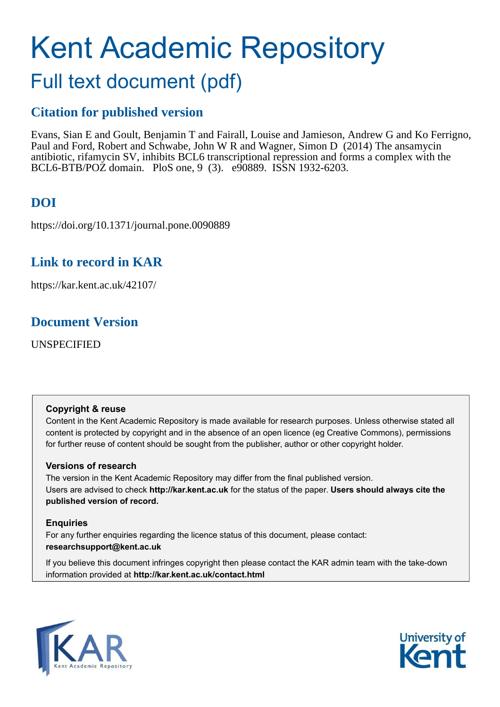# Kent Academic Repository

# Full text document (pdf)

# **Citation for published version**

Evans, Sian E and Goult, Benjamin T and Fairall, Louise and Jamieson, Andrew G and Ko Ferrigno, Paul and Ford, Robert and Schwabe, John W R and Wagner, Simon D (2014) The ansamycin antibiotic, rifamycin SV, inhibits BCL6 transcriptional repression and forms a complex with the BCL6-BTB/POZ domain. PloS one, 9 (3). e90889. ISSN 1932-6203.

# **DOI**

https://doi.org/10.1371/journal.pone.0090889

# **Link to record in KAR**

https://kar.kent.ac.uk/42107/

# **Document Version**

UNSPECIFIED

# **Copyright & reuse**

Content in the Kent Academic Repository is made available for research purposes. Unless otherwise stated all content is protected by copyright and in the absence of an open licence (eg Creative Commons), permissions for further reuse of content should be sought from the publisher, author or other copyright holder.

# **Versions of research**

The version in the Kent Academic Repository may differ from the final published version. Users are advised to check **http://kar.kent.ac.uk** for the status of the paper. **Users should always cite the published version of record.**

# **Enquiries**

For any further enquiries regarding the licence status of this document, please contact: **researchsupport@kent.ac.uk**

If you believe this document infringes copyright then please contact the KAR admin team with the take-down information provided at **http://kar.kent.ac.uk/contact.html**



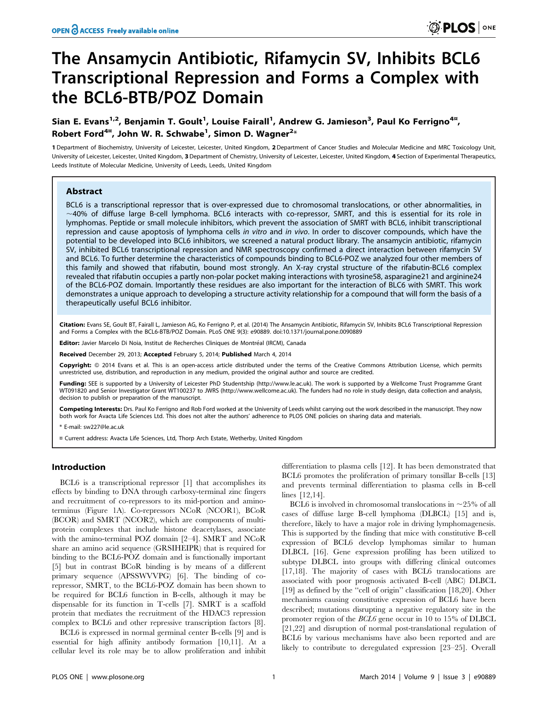# The Ansamycin Antibiotic, Rifamycin SV, Inhibits BCL6 Transcriptional Repression and Forms a Complex with the BCL6-BTB/POZ Domain

#### Sian E. Evans<sup>1,2</sup>, Benjamin T. Goult<sup>1</sup>, Louise Fairall<sup>1</sup>, Andrew G. Jamieson<sup>3</sup>, Paul Ko Ferrigno<sup>4¤</sup>, Robert Ford $^{4n}$ , John W. R. Schwabe $^1$ , Simon D. Wagner $^{2\ast}$

1 Department of Biochemistry, University of Leicester, Leicester, United Kingdom, 2Department of Cancer Studies and Molecular Medicine and MRC Toxicology Unit, University of Leicester, Leicester, United Kingdom, 3 Department of Chemistry, University of Leicester, Leicester, United Kingdom, 4 Section of Experimental Therapeutics, Leeds Institute of Molecular Medicine, University of Leeds, Leeds, United Kingdom

#### Abstract

BCL6 is a transcriptional repressor that is over-expressed due to chromosomal translocations, or other abnormalities, in  $\sim$  40% of diffuse large B-cell lymphoma. BCL6 interacts with co-repressor, SMRT, and this is essential for its role in lymphomas. Peptide or small molecule inhibitors, which prevent the association of SMRT with BCL6, inhibit transcriptional repression and cause apoptosis of lymphoma cells in vitro and in vivo. In order to discover compounds, which have the potential to be developed into BCL6 inhibitors, we screened a natural product library. The ansamycin antibiotic, rifamycin SV, inhibited BCL6 transcriptional repression and NMR spectroscopy confirmed a direct interaction between rifamycin SV and BCL6. To further determine the characteristics of compounds binding to BCL6-POZ we analyzed four other members of this family and showed that rifabutin, bound most strongly. An X-ray crystal structure of the rifabutin-BCL6 complex revealed that rifabutin occupies a partly non-polar pocket making interactions with tyrosine58, asparagine21 and arginine24 of the BCL6-POZ domain. Importantly these residues are also important for the interaction of BLC6 with SMRT. This work demonstrates a unique approach to developing a structure activity relationship for a compound that will form the basis of a therapeutically useful BCL6 inhibitor.

Citation: Evans SE, Goult BT, Fairall L, Jamieson AG, Ko Ferrigno P, et al. (2014) The Ansamycin Antibiotic, Rifamycin SV, Inhibits BCL6 Transcriptional Repression and Forms a Complex with the BCL6-BTB/POZ Domain. PLoS ONE 9(3): e90889. doi:10.1371/journal.pone.0090889

Editor: Javier Marcelo Di Noia, Institut de Recherches Cliniques de Montréal (IRCM), Canada

Received December 29, 2013; Accepted February 5, 2014; Published March 4, 2014

Copyright: @ 2014 Evans et al. This is an open-access article distributed under the terms of the [Creative Commons Attribution License](http://creativecommons.org/licenses/by/4.0/), which permits unrestricted use, distribution, and reproduction in any medium, provided the original author and source are credited.

Funding: SEE is supported by a University of Leicester PhD Studentship (http://www.le.ac.uk). The work is supported by a Wellcome Trust Programme Grant WT091820 and Senior Investigator Grant WT100237 to JWRS (http://www.wellcome.ac.uk). The funders had no role in study design, data collection and analysis, decision to publish or preparation of the manuscript.

Competing Interests: Drs. Paul Ko Ferrigno and Rob Ford worked at the University of Leeds whilst carrying out the work described in the manuscript. They now both work for Avacta Life Sciences Ltd. This does not alter the authors' adherence to PLOS ONE policies on sharing data and materials.

\* E-mail: sw227@le.ac.uk

¤ Current address: Avacta Life Sciences, Ltd, Thorp Arch Estate, Wetherby, United Kingdom

#### Introduction

BCL6 is a transcriptional repressor [1] that accomplishes its effects by binding to DNA through carboxy-terminal zinc fingers and recruitment of co-repressors to its mid-portion and aminoterminus (Figure 1A). Co-repressors NCoR (NCOR1), BCoR (BCOR) and SMRT (NCOR2), which are components of multiprotein complexes that include histone deacetylases, associate with the amino-terminal POZ domain [2–4]. SMRT and NCoR share an amino acid sequence (GRSIHEIPR) that is required for binding to the BCL6-POZ domain and is functionally important [5] but in contrast BCoR binding is by means of a different primary sequence (APSSWVVPG) [6]. The binding of corepressor, SMRT, to the BCL6-POZ domain has been shown to be required for BCL6 function in B-cells, although it may be dispensable for its function in T-cells [7]. SMRT is a scaffold protein that mediates the recruitment of the HDAC3 repression complex to BCL6 and other repressive transcription factors [8].

BCL6 is expressed in normal germinal center B-cells [9] and is essential for high affinity antibody formation [10,11]. At a cellular level its role may be to allow proliferation and inhibit

differentiation to plasma cells [12]. It has been demonstrated that BCL6 promotes the proliferation of primary tonsillar B-cells [13] and prevents terminal differentiation to plasma cells in B-cell lines [12,14].

BCL6 is involved in chromosomal translocations in  $\sim$ 25% of all cases of diffuse large B-cell lymphoma (DLBCL) [15] and is, therefore, likely to have a major role in driving lymphomagenesis. This is supported by the finding that mice with constitutive B-cell expression of BCL6 develop lymphomas similar to human DLBCL [16]. Gene expression profiling has been utilized to subtype DLBCL into groups with differing clinical outcomes [17,18]. The majority of cases with BCL6 translocations are associated with poor prognosis activated B-cell (ABC) DLBCL [19] as defined by the ''cell of origin'' classification [18,20]. Other mechanisms causing constitutive expression of BCL6 have been described; mutations disrupting a negative regulatory site in the promoter region of the BCL6 gene occur in 10 to 15% of DLBCL [21,22] and disruption of normal post-translational regulation of BCL6 by various mechanisms have also been reported and are likely to contribute to deregulated expression [23–25]. Overall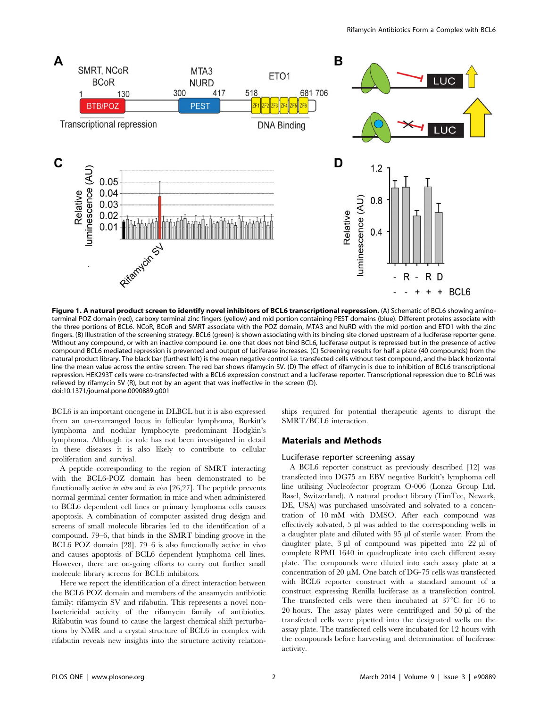

Figure 1. A natural product screen to identify novel inhibitors of BCL6 transcriptional repression. (A) Schematic of BCL6 showing aminoterminal POZ domain (red), carboxy terminal zinc fingers (yellow) and mid portion containing PEST domains (blue). Different proteins associate with the three portions of BCL6. NCoR, BCoR and SMRT associate with the POZ domain, MTA3 and NuRD with the mid portion and ETO1 with the zinc fingers. (B) Illustration of the screening strategy. BCL6 (green) is shown associating with its binding site cloned upstream of a luciferase reporter gene. Without any compound, or with an inactive compound i.e. one that does not bind BCL6, luciferase output is repressed but in the presence of active compound BCL6 mediated repression is prevented and output of luciferase increases. (C) Screening results for half a plate (40 compounds) from the natural product library. The black bar (furthest left) is the mean negative control i.e. transfected cells without test compound, and the black horizontal line the mean value across the entire screen. The red bar shows rifamycin SV. (D) The effect of rifamycin is due to inhibition of BCL6 transcriptional repression. HEK293T cells were co-transfected with a BCL6 expression construct and a luciferase reporter. Transcriptional repression due to BCL6 was relieved by rifamycin SV (R), but not by an agent that was ineffective in the screen (D). doi:10.1371/journal.pone.0090889.g001

BCL6 is an important oncogene in DLBCL but it is also expressed from an un-rearranged locus in follicular lymphoma, Burkitt's lymphoma and nodular lymphocyte predominant Hodgkin's lymphoma. Although its role has not been investigated in detail in these diseases it is also likely to contribute to cellular proliferation and survival.

A peptide corresponding to the region of SMRT interacting with the BCL6-POZ domain has been demonstrated to be functionally active in vitro and in vivo [26,27]. The peptide prevents normal germinal center formation in mice and when administered to BCL6 dependent cell lines or primary lymphoma cells causes apoptosis. A combination of computer assisted drug design and screens of small molecule libraries led to the identification of a compound, 79–6, that binds in the SMRT binding groove in the BCL6 POZ domain [28]. 79–6 is also functionally active in vivo and causes apoptosis of BCL6 dependent lymphoma cell lines. However, there are on-going efforts to carry out further small molecule library screens for BCL6 inhibitors.

Here we report the identification of a direct interaction between the BCL6 POZ domain and members of the ansamycin antibiotic family: rifamycin SV and rifabutin. This represents a novel nonbactericidal activity of the rifamycin family of antibiotics. Rifabutin was found to cause the largest chemical shift perturbations by NMR and a crystal structure of BCL6 in complex with rifabutin reveals new insights into the structure activity relationships required for potential therapeutic agents to disrupt the SMRT/BCL6 interaction.

#### Materials and Methods

#### Luciferase reporter screening assay

A BCL6 reporter construct as previously described [12] was transfected into DG75 an EBV negative Burkitt's lymphoma cell line utilising Nucleofector program O-006 (Lonza Group Ltd, Basel, Switzerland). A natural product library (TimTec, Newark, DE, USA) was purchased unsolvated and solvated to a concentration of 10 mM with DMSO. After each compound was effectively solvated,  $5 \mu l$  was added to the corresponding wells in a daughter plate and diluted with 95 µl of sterile water. From the daughter plate,  $3 \mu l$  of compound was pipetted into  $22 \mu l$  of complete RPMI 1640 in quadruplicate into each different assay plate. The compounds were diluted into each assay plate at a concentration of 20  $\mu$ M. One batch of DG-75 cells was transfected with BCL6 reporter construct with a standard amount of a construct expressing Renilla luciferase as a transfection control. The transfected cells were then incubated at  $37^{\circ}$ C for 16 to 20 hours. The assay plates were centrifuged and  $50 \mu l$  of the transfected cells were pipetted into the designated wells on the assay plate. The transfected cells were incubated for 12 hours with the compounds before harvesting and determination of luciferase activity.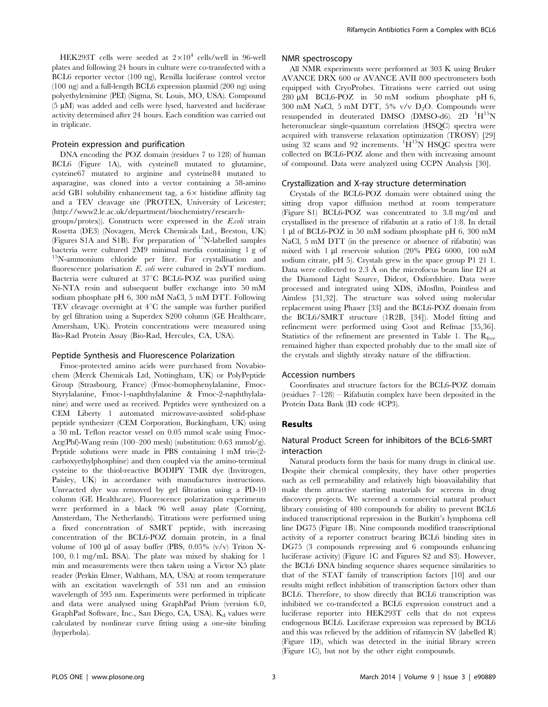HEK293T cells were seeded at  $2\times10^4$  cells/well in 96-well plates and following 24 hours in culture were co-transfected with a BCL6 reporter vector (100 ng), Renilla luciferase control vector (100 ng) and a full-length BCL6 expression plasmid (200 ng) using polyethylenimine (PEI) (Sigma, St. Louis, MO, USA). Compound  $(5 \mu M)$  was added and cells were lysed, harvested and luciferase activity determined after 24 hours. Each condition was carried out in triplicate.

#### Protein expression and purification

DNA encoding the POZ domain (residues 7 to 128) of human BCL6 (Figure 1A), with cysteine8 mutated to glutamine, cysteine67 mutated to arginine and cysteine84 mutated to asparagine, was cloned into a vector containing a 58-amino acid GB1 solubility enhancement tag, a  $6 \times$  histidine affinity tag and a TEV cleavage site (PROTEX, University of Leicester; [\(http://www2.le.ac.uk/department/biochemistry/research-](http://www2.le.ac.uk/department/biochemistry/research-groups/protex)

[groups/protex](http://www2.le.ac.uk/department/biochemistry/research-groups/protex))). Constructs were expressed in the E.coli strain Rosetta (DE3) (Novagen, Merck Chemicals Ltd., Beeston, UK) (Figures S<sub>1</sub>A and S<sub>1B</sub>). For preparation of <sup>15</sup>N-labelled samples bacteria were cultured 2M9 minimal media containing 1 g of <sup>15</sup>N-ammonium chloride per liter. For crystallisation and fluorescence polarisation E. coli were cultured in 2xYT medium. Bacteria were cultured at 37°C BCL6-POZ was purified using Ni-NTA resin and subsequent buffer exchange into 50 mM sodium phosphate pH 6, 300 mM NaCl, 5 mM DTT. Following TEV cleavage overnight at  $4^{\circ}$ C the sample was further purified by gel filtration using a Superdex S200 column (GE Healthcare, Amersham, UK). Protein concentrations were measured using Bio-Rad Protein Assay (Bio-Rad, Hercules, CA, USA).

#### Peptide Synthesis and Fluorescence Polarization

Fmoc-protected amino acids were purchased from Novabiochem (Merck Chemicals Ltd, Nottingham, UK) or PolyPeptide Group (Strasbourg, France) (Fmoc-homophenylalanine, Fmoc-Styrylalanine, Fmoc-1-naphthylalanine & Fmoc-2-naphthylalanine) and were used as received. Peptides were synthesized on a CEM Liberty 1 automated microwave-assisted solid-phase peptide synthesizer (CEM Corporation, Buckingham, UK) using a 30 mL Teflon reactor vessel on 0.05 mmol scale using Fmoc-Arg(Pbf)-Wang resin (100–200 mesh) (substitution: 0.63 mmol/g). Peptide solutions were made in PBS containing 1 mM tris-(2 carboxyethylphosphine) and then coupled via the amino-terminal cysteine to the thiol-reactive BODIPY TMR dye (Invitrogen, Paisley, UK) in accordance with manufactures instructions. Unreacted dye was removed by gel filtration using a PD-10 column (GE Healthcare). Fluorescence polarization experiments were performed in a black 96 well assay plate (Corning, Amsterdam, The Netherlands). Titrations were performed using a fixed concentration of SMRT peptide, with increasing concentration of the BCL6-POZ domain protein, in a final volume of 100  $\mu$ l of assay buffer (PBS, 0.05% (v/v) Triton X-100, 0.1 mg/mL BSA). The plate was mixed by shaking for 1 min and measurements were then taken using a Victor X5 plate reader (Perkin Elmer, Waltham, MA, USA) at room temperature with an excitation wavelength of 531 nm and an emission wavelength of 595 nm. Experiments were performed in triplicate and data were analysed using GraphPad Prism (version 6.0, GraphPad Software, Inc., San Diego, CA, USA). Kd values were calculated by nonlinear curve fitting using a one-site binding (hyperbola).

#### NMR spectroscopy

All NMR experiments were performed at 303 K using Bruker AVANCE DRX 600 or AVANCE AVII 800 spectrometers both equipped with CryoProbes. Titrations were carried out using 280 mM BCL6-POZ in 50 mM sodium phosphate pH 6, 300 mM NaCl, 5 mM DTT, 5% v/v  $D_2O$ . Compounds were resuspended in deuterated DMSO (DMSO-d6). 2D <sup>1</sup>H<sup>15</sup>N heteronuclear single-quantum correlation (HSQC) spectra were acquired with transverse relaxation optimization (TROSY) [29] using 32 scans and 92 increments. <sup>1</sup>H<sup>15</sup>N HSQC spectra were collected on BCL6-POZ alone and then with increasing amount of compound. Data were analyzed using CCPN Analysis [30].

#### Crystallization and X-ray structure determination

Crystals of the BCL6-POZ domain were obtained using the sitting drop vapor diffusion method at room temperature (Figure S1) BCL6-POZ was concentrated to 3.8 mg/ml and crystallised in the presence of rifabutin at a ratio of 1:8. In detail 1 ml of BCL6-POZ in 50 mM sodium phosphate pH 6, 300 mM NaCl, 5 mM DTT (in the presence or absence of rifabutin) was mixed with 1 µl reservoir solution (20% PEG 6000, 100 mM sodium citrate, pH 5). Crystals grew in the space group P1 21 1. Data were collected to 2.3 Å on the microfocus beam line I24 at the Diamond Light Source, Didcot, Oxfordshire. Data were processed and integrated using XDS, iMosflm, Pointless and Aimless [31,32]. The structure was solved using molecular replacement using Phaser [33] and the BCL6-POZ domain from the BCL6/SMRT structure (1R2B, [34]). Model fitting and refinement were performed using Coot and Refmac [35,36]. Statistics of the refinement are presented in Table 1. The  $R_{free}$ remained higher than expected probably due to the small size of the crystals and slightly streaky nature of the diffraction.

#### Accession numbers

Coordinates and structure factors for the BCL6-POZ domain (residues 7–128) – Rifabutin complex have been deposited in the Protein Data Bank (ID code 4CP3).

#### Results

#### Natural Product Screen for inhibitors of the BCL6-SMRT interaction

Natural products form the basis for many drugs in clinical use. Despite their chemical complexity, they have other properties such as cell permeability and relatively high bioavailability that make them attractive starting materials for screens in drug discovery projects. We screened a commercial natural product library consisting of 480 compounds for ability to prevent BCL6 induced transcriptional repression in the Burkitt's lymphoma cell line DG75 (Figure 1B). Nine compounds modified transcriptional activity of a reporter construct bearing BCL6 binding sites in DG75 (3 compounds repressing and 6 compounds enhancing luciferase activity) (Figure 1C and Figures S2 and S3). However, the BCL6 DNA binding sequence shares sequence similarities to that of the STAT family of transcription factors [10] and our results might reflect inhibition of transcription factors other than BCL6. Therefore, to show directly that BCL6 transcription was inhibited we co-transfected a BCL6 expression construct and a luciferase reporter into HEK293T cells that do not express endogenous BCL6. Luciferase expression was repressed by BCL6 and this was relieved by the addition of rifamycin SV (labelled R) (Figure 1D), which was detected in the initial library screen (Figure 1C), but not by the other eight compounds.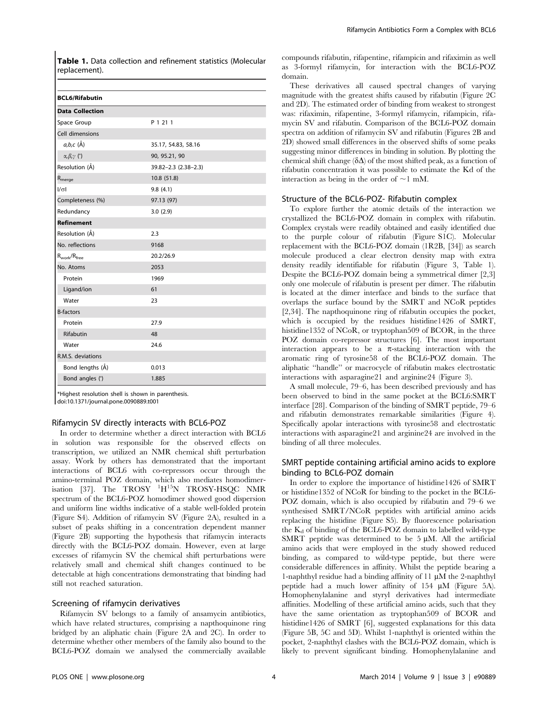Table 1. Data collection and refinement statistics (Molecular replacement).

| <b>BCL6/Rifabutin</b>         |                      |
|-------------------------------|----------------------|
| <b>Data Collection</b>        |                      |
| Space Group                   | P 1 21 1             |
| Cell dimensions               |                      |
| $a,b,c$ ( $\AA$ )             | 35.17, 54.83, 58.16  |
| $\alpha, \beta, \gamma$ (°)   | 90, 95.21, 90        |
| Resolution (Å)                | 39.82-2.3 (2.38-2.3) |
| $\mathsf{R}_{\mathsf{merge}}$ | 10.8 (51.8)          |
| $\sqrt{d}$                    | 9.8(4.1)             |
| Completeness (%)              | 97.13 (97)           |
| Redundancy                    | 3.0(2.9)             |
| <b>Refinement</b>             |                      |
| Resolution (Å)                | 2.3                  |
| No. reflections               | 9168                 |
| $R_{work}/R_{free}$           | 20.2/26.9            |
| No. Atoms                     | 2053                 |
| Protein                       | 1969                 |
| Ligand/ion                    | 61                   |
| Water                         | 23                   |
| <b>B-factors</b>              |                      |
| Protein                       | 27.9                 |
| <b>Rifabutin</b>              | 48                   |
| Water                         | 24.6                 |
| R.M.S. deviations             |                      |
| Bond lengths (Å)              | 0.013                |
| Bond angles (°)               | 1.885                |

\*Highest resolution shell is shown in parenthesis. doi:10.1371/journal.pone.0090889.t001

#### Rifamycin SV directly interacts with BCL6-POZ

In order to determine whether a direct interaction with BCL6 in solution was responsible for the observed effects on transcription, we utilized an NMR chemical shift perturbation assay. Work by others has demonstrated that the important interactions of BCL6 with co-repressors occur through the amino-terminal POZ domain, which also mediates homodimerisation [37]. The TROSY <sup>1</sup>H<sup>15</sup>N TROSY-HSQC NMR spectrum of the BCL6-POZ homodimer showed good dispersion and uniform line widths indicative of a stable well-folded protein (Figure S4). Addition of rifamycin SV (Figure 2A), resulted in a subset of peaks shifting in a concentration dependent manner (Figure 2B) supporting the hypothesis that rifamycin interacts directly with the BCL6-POZ domain. However, even at large excesses of rifamycin SV the chemical shift perturbations were relatively small and chemical shift changes continued to be detectable at high concentrations demonstrating that binding had still not reached saturation.

#### Screening of rifamycin derivatives

Rifamycin SV belongs to a family of ansamycin antibiotics, which have related structures, comprising a napthoquinone ring bridged by an aliphatic chain (Figure 2A and 2C). In order to determine whether other members of the family also bound to the BCL6-POZ domain we analysed the commercially available

compounds rifabutin, rifapentine, rifampicin and rifaximin as well as 3-formyl rifamycin, for interaction with the BCL6-POZ domain.

These derivatives all caused spectral changes of varying magnitude with the greatest shifts caused by rifabutin (Figure 2C and 2D). The estimated order of binding from weakest to strongest was: rifaximin, rifapentine, 3-formyl rifamycin, rifampicin, rifamycin SV and rifabutin. Comparison of the BCL6-POZ domain spectra on addition of rifamycin SV and rifabutin (Figures 2B and 2D) showed small differences in the observed shifts of some peaks suggesting minor differences in binding in solution. By plotting the chemical shift change  $(\delta \Delta)$  of the most shifted peak, as a function of rifabutin concentration it was possible to estimate the Kd of the interaction as being in the order of  $\sim$ 1 mM.

#### Structure of the BCL6-POZ- Rifabutin complex

To explore further the atomic details of the interaction we crystallized the BCL6-POZ domain in complex with rifabutin. Complex crystals were readily obtained and easily identified due to the purple colour of rifabutin (Figure S1C). Molecular replacement with the BCL6-POZ domain (1R2B, [34]) as search molecule produced a clear electron density map with extra density readily identifiable for rifabutin (Figure 3, Table 1). Despite the BCL6-POZ domain being a symmetrical dimer [2,3] only one molecule of rifabutin is present per dimer. The rifabutin is located at the dimer interface and binds to the surface that overlaps the surface bound by the SMRT and NCoR peptides [2,34]. The napthoquinone ring of rifabutin occupies the pocket, which is occupied by the residues histidine1426 of SMRT, histidine1352 of NCoR, or tryptophan509 of BCOR, in the three POZ domain co-repressor structures [6]. The most important interaction appears to be a  $\pi$ -stacking interaction with the aromatic ring of tyrosine58 of the BCL6-POZ domain. The aliphatic ''handle'' or macrocycle of rifabutin makes electrostatic interactions with asparagine21 and arginine24 (Figure 3).

A small molecule, 79–6, has been described previously and has been observed to bind in the same pocket at the BCL6:SMRT interface [28]. Comparison of the binding of SMRT peptide, 79–6 and rifabutin demonstrates remarkable similarities (Figure 4). Specifically apolar interactions with tyrosine58 and electrostatic interactions with asparagine21 and arginine24 are involved in the binding of all three molecules.

#### SMRT peptide containing artificial amino acids to explore binding to BCL6-POZ domain

In order to explore the importance of histidine1426 of SMRT or histidine1352 of NCoR for binding to the pocket in the BCL6- POZ domain, which is also occupied by rifabutin and 79–6 we synthesised SMRT/NCoR peptides with artificial amino acids replacing the histidine (Figure S5). By fluorescence polarisation the  $K_d$  of binding of the BCL6-POZ domain to labelled wild-type SMRT peptide was determined to be  $5 \mu$ M. All the artificial amino acids that were employed in the study showed reduced binding, as compared to wild-type peptide, but there were considerable differences in affinity. Whilst the peptide bearing a 1-naphthyl residue had a binding affinity of  $11 \mu M$  the 2-naphthyl peptide had a much lower affinity of  $154 \mu M$  (Figure 5A). Homophenylalanine and styryl derivatives had intermediate affinities. Modelling of these artificial amino acids, such that they have the same orientation as tryptophan509 of BCOR and histidine1426 of SMRT [6], suggested explanations for this data (Figure 5B, 5C and 5D). Whilst 1-naphthyl is oriented within the pocket, 2-naphthyl clashes with the BCL6-POZ domain, which is likely to prevent significant binding. Homophenylalanine and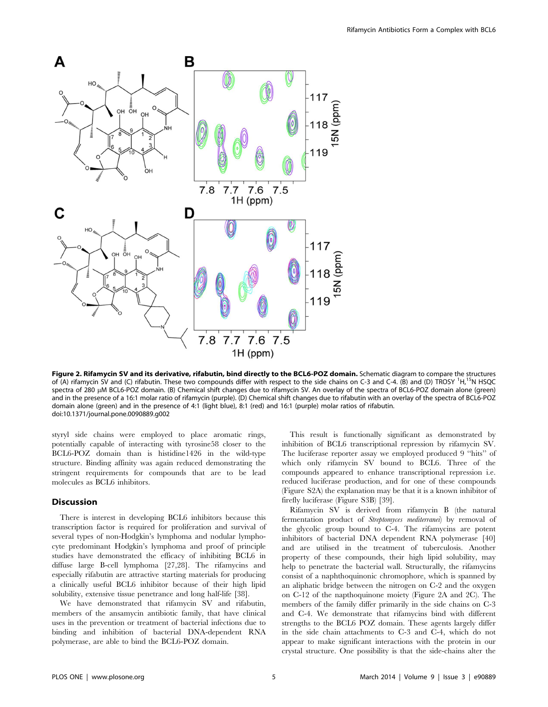

Figure 2. Rifamycin SV and its derivative, rifabutin, bind directly to the BCL6-POZ domain. Schematic diagram to compare the structures of (A) rifamycin SV and (C) rifabutin. These two compounds differ with respect to the side chains on C-3 and C-4. (B) and (D) TROSY <sup>1</sup>H, <sup>15</sup>N HSOC spectra of 280 µM BCL6-POZ domain. (B) Chemical shift changes due to rifamycin SV. An overlay of the spectra of BCL6-POZ domain alone (green) and in the presence of a 16:1 molar ratio of rifamycin (purple). (D) Chemical shift changes due to rifabutin with an overlay of the spectra of BCL6-POZ domain alone (green) and in the presence of 4:1 (light blue), 8:1 (red) and 16:1 (purple) molar ratios of rifabutin. doi:10.1371/journal.pone.0090889.g002

styryl side chains were employed to place aromatic rings, potentially capable of interacting with tyrosine58 closer to the BCL6-POZ domain than is histidine1426 in the wild-type structure. Binding affinity was again reduced demonstrating the stringent requirements for compounds that are to be lead molecules as BCL6 inhibitors.

#### **Discussion**

There is interest in developing BCL6 inhibitors because this transcription factor is required for proliferation and survival of several types of non-Hodgkin's lymphoma and nodular lymphocyte predominant Hodgkin's lymphoma and proof of principle studies have demonstrated the efficacy of inhibiting BCL6 in diffuse large B-cell lymphoma [27,28]. The rifamycins and especially rifabutin are attractive starting materials for producing a clinically useful BCL6 inhibitor because of their high lipid solubility, extensive tissue penetrance and long half-life [38].

We have demonstrated that rifamycin SV and rifabutin, members of the ansamycin antibiotic family, that have clinical uses in the prevention or treatment of bacterial infections due to binding and inhibition of bacterial DNA-dependent RNA polymerase, are able to bind the BCL6-POZ domain.

This result is functionally significant as demonstrated by inhibition of BCL6 transcriptional repression by rifamycin SV. The luciferase reporter assay we employed produced 9 ''hits'' of which only rifamycin SV bound to BCL6. Three of the compounds appeared to enhance transcriptional repression i.e. reduced luciferase production, and for one of these compounds (Figure S2A) the explanation may be that it is a known inhibitor of firefly luciferase (Figure S3B) [39].

Rifamycin SV is derived from rifamycin B (the natural fermentation product of Streptomyces mediterranei) by removal of the glycolic group bound to C-4. The rifamycins are potent inhibitors of bacterial DNA dependent RNA polymerase [40] and are utilised in the treatment of tuberculosis. Another property of these compounds, their high lipid solubility, may help to penetrate the bacterial wall. Structurally, the rifamycins consist of a naphthoquinonic chromophore, which is spanned by an aliphatic bridge between the nitrogen on C-2 and the oxygen on C-12 of the napthoquinone moiety (Figure 2A and 2C). The members of the family differ primarily in the side chains on C-3 and C-4. We demonstrate that rifamycins bind with different strengths to the BCL6 POZ domain. These agents largely differ in the side chain attachments to C-3 and C-4, which do not appear to make significant interactions with the protein in our crystal structure. One possibility is that the side-chains alter the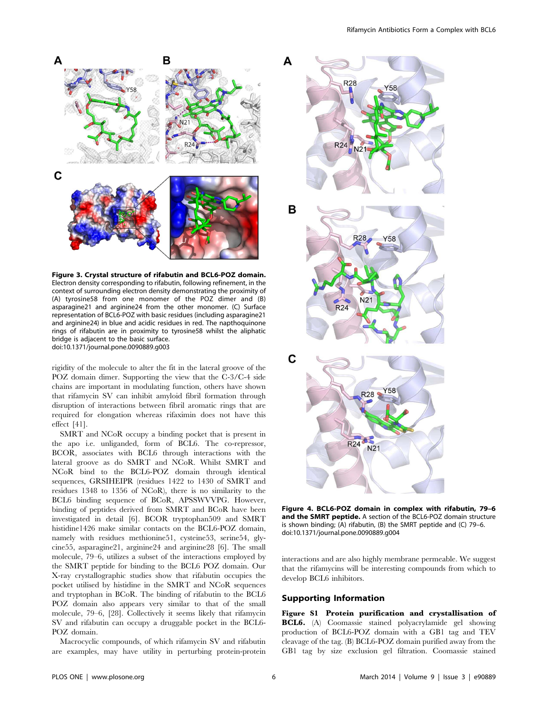

Figure 3. Crystal structure of rifabutin and BCL6-POZ domain. Electron density corresponding to rifabutin, following refinement, in the context of surrounding electron density demonstrating the proximity of (A) tyrosine58 from one monomer of the POZ dimer and (B) asparagine21 and arginine24 from the other monomer. (C) Surface representation of BCL6-POZ with basic residues (including asparagine21 and arginine24) in blue and acidic residues in red. The napthoquinone rings of rifabutin are in proximity to tyrosine58 whilst the aliphatic bridge is adjacent to the basic surface. doi:10.1371/journal.pone.0090889.g003

rigidity of the molecule to alter the fit in the lateral groove of the POZ domain dimer. Supporting the view that the C-3/C-4 side chains are important in modulating function, others have shown that rifamycin SV can inhibit amyloid fibril formation through disruption of interactions between fibril aromatic rings that are required for elongation whereas rifaximin does not have this effect [41].

SMRT and NCoR occupy a binding pocket that is present in the apo i.e. unliganded, form of BCL6. The co-repressor, BCOR, associates with BCL6 through interactions with the lateral groove as do SMRT and NCoR. Whilst SMRT and NCoR bind to the BCL6-POZ domain through identical sequences, GRSIHEIPR (residues 1422 to 1430 of SMRT and residues 1348 to 1356 of NCoR), there is no similarity to the BCL6 binding sequence of BCoR, APSSWVVPG. However, binding of peptides derived from SMRT and BCoR have been investigated in detail [6]. BCOR tryptophan509 and SMRT histidine1426 make similar contacts on the BCL6-POZ domain, namely with residues methionine51, cysteine53, serine54, glycine55, asparagine21, arginine24 and arginine28 [6]. The small molecule, 79–6, utilizes a subset of the interactions employed by the SMRT peptide for binding to the BCL6 POZ domain. Our X-ray crystallographic studies show that rifabutin occupies the pocket utilised by histidine in the SMRT and NCoR sequences and tryptophan in BCoR. The binding of rifabutin to the BCL6 POZ domain also appears very similar to that of the small molecule, 79–6, [28]. Collectively it seems likely that rifamycin SV and rifabutin can occupy a druggable pocket in the BCL6- POZ domain.

Macrocyclic compounds, of which rifamycin SV and rifabutin are examples, may have utility in perturbing protein-protein



Figure 4. BCL6-POZ domain in complex with rifabutin, 79–6 and the SMRT peptide. A section of the BCL6-POZ domain structure is shown binding; (A) rifabutin, (B) the SMRT peptide and (C) 79–6. doi:10.1371/journal.pone.0090889.g004

interactions and are also highly membrane permeable. We suggest that the rifamycins will be interesting compounds from which to develop BCL6 inhibitors.

#### Supporting Information

Figure S1 Protein purification and crystallisation of BCL6. (A) Coomassie stained polyacrylamide gel showing production of BCL6-POZ domain with a GB1 tag and TEV cleavage of the tag. (B) BCL6-POZ domain purified away from the GB1 tag by size exclusion gel filtration. Coomassie stained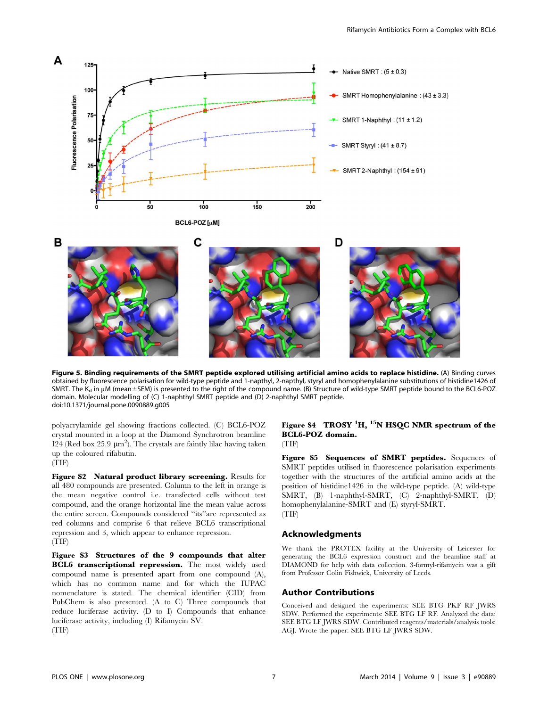

Figure 5. Binding requirements of the SMRT peptide explored utilising artificial amino acids to replace histidine. (A) Binding curves obtained by fluorescence polarisation for wild-type peptide and 1-napthyl, 2-napthyl, styryl and homophenylalanine substitutions of histidine1426 of SMRT. The  $K_d$  in  $\mu$ M (mean $\pm$ SEM) is presented to the right of the compound name. (B) Structure of wild-type SMRT peptide bound to the BCL6-POZ domain. Molecular modelling of (C) 1-naphthyl SMRT peptide and (D) 2-naphthyl SMRT peptide. doi:10.1371/journal.pone.0090889.g005

polyacrylamide gel showing fractions collected. (C) BCL6-POZ crystal mounted in a loop at the Diamond Synchrotron beamline I24 (Red box 25.9  $\mu$ m<sup>2</sup>). The crystals are faintly lilac having taken up the coloured rifabutin. (TIF)

Figure S2 Natural product library screening. Results for all 480 compounds are presented. Column to the left in orange is the mean negative control i.e. transfected cells without test compound, and the orange horizontal line the mean value across the entire screen. Compounds considered ''its''are represented as red columns and comprise 6 that relieve BCL6 transcriptional repression and 3, which appear to enhance repression. (TIF)

Figure S3 Structures of the 9 compounds that alter BCL6 transcriptional repression. The most widely used compound name is presented apart from one compound (A), which has no common name and for which the IUPAC nomenclature is stated. The chemical identifier (CID) from PubChem is also presented. (A to C) Three compounds that reduce luciferase activity. (D to I) Compounds that enhance luciferase activity, including (I) Rifamycin SV. (TIF)

#### Figure S4 TROSY  ${}^{1}H$ ,  ${}^{15}N$  HSQC NMR spectrum of the BCL6-POZ domain. (TIF)

Figure S5 Sequences of SMRT peptides. Sequences of SMRT peptides utilised in fluorescence polarisation experiments together with the structures of the artificial amino acids at the position of histidine1426 in the wild-type peptide. (A) wild-type SMRT, (B) 1-naphthyl-SMRT, (C) 2-naphthyl-SMRT, (D) homophenylalanine-SMRT and (E) styryl-SMRT. (TIF)

#### Acknowledgments

We thank the PROTEX facility at the University of Leicester for generating the BCL6 expression construct and the beamline staff at DIAMOND for help with data collection. 3-formyl-rifamycin was a gift from Professor Colin Fishwick, University of Leeds.

#### Author Contributions

Conceived and designed the experiments: SEE BTG PKF RF JWRS SDW. Performed the experiments: SEE BTG LF RF. Analyzed the data: SEE BTG LF JWRS SDW. Contributed reagents/materials/analysis tools: AGJ. Wrote the paper: SEE BTG LF JWRS SDW.